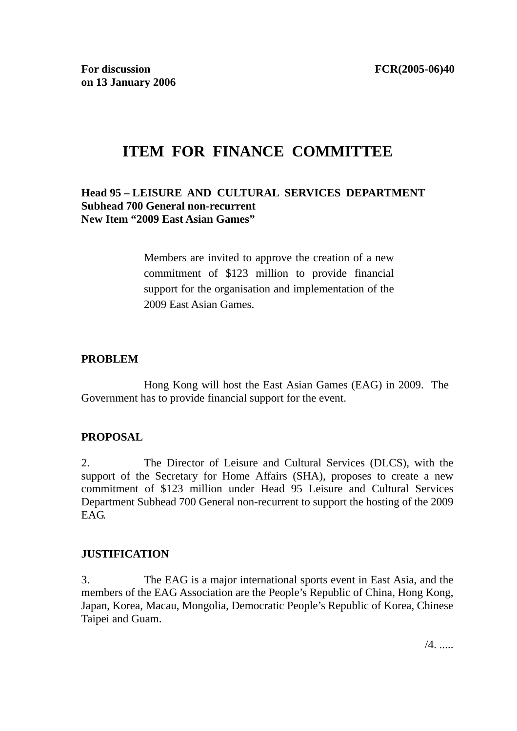# **ITEM FOR FINANCE COMMITTEE**

#### **Head 95 – LEISURE AND CULTURAL SERVICES DEPARTMENT Subhead 700 General non-recurrent New Item "2009 East Asian Games"**

Members are invited to approve the creation of a new commitment of \$123 million to provide financial support for the organisation and implementation of the 2009 East Asian Games.

#### **PROBLEM**

 Hong Kong will host the East Asian Games (EAG) in 2009. The Government has to provide financial support for the event.

#### **PROPOSAL**

2. The Director of Leisure and Cultural Services (DLCS), with the support of the Secretary for Home Affairs (SHA), proposes to create a new commitment of \$123 million under Head 95 Leisure and Cultural Services Department Subhead 700 General non-recurrent to support the hosting of the 2009 EAG.

#### **JUSTIFICATION**

3. The EAG is a major international sports event in East Asia, and the members of the EAG Association are the People's Republic of China, Hong Kong, Japan, Korea, Macau, Mongolia, Democratic People's Republic of Korea, Chinese Taipei and Guam.

/4. .....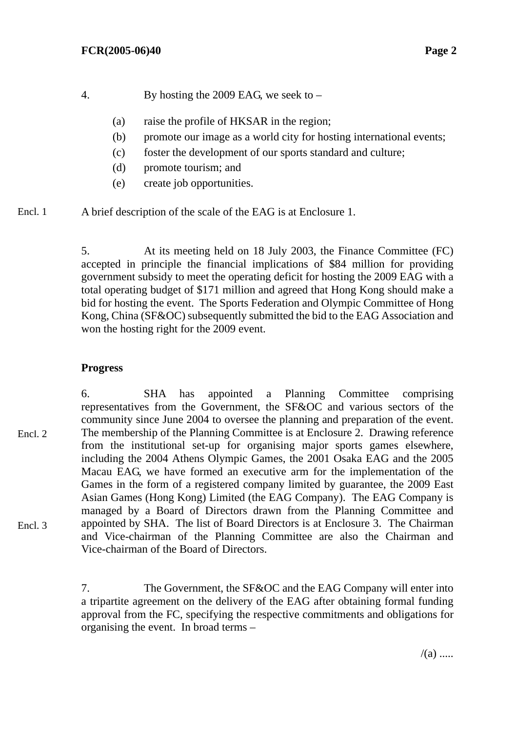- 4. By hosting the 2009 EAG, we seek to
	- (a) raise the profile of HKSAR in the region;
	- (b) promote our image as a world city for hosting international events;
	- (c) foster the development of our sports standard and culture;
	- (d) promote tourism; and
	- (e) create job opportunities.
- A brief description of the scale of the EAG is at Enclosure 1. Encl. 1

5. At its meeting held on 18 July 2003, the Finance Committee (FC) accepted in principle the financial implications of \$84 million for providing government subsidy to meet the operating deficit for hosting the 2009 EAG with a total operating budget of \$171 million and agreed that Hong Kong should make a bid for hosting the event. The Sports Federation and Olympic Committee of Hong Kong, China (SF&OC) subsequently submitted the bid to the EAG Association and won the hosting right for the 2009 event.

## **Progress**

6. SHA has appointed a Planning Committee comprising representatives from the Government, the SF&OC and various sectors of the community since June 2004 to oversee the planning and preparation of the event. The membership of the Planning Committee is at Enclosure 2. Drawing reference from the institutional set-up for organising major sports games elsewhere, including the 2004 Athens Olympic Games, the 2001 Osaka EAG and the 2005 Macau EAG, we have formed an executive arm for the implementation of the Games in the form of a registered company limited by guarantee, the 2009 East Asian Games (Hong Kong) Limited (the EAG Company). The EAG Company is managed by a Board of Directors drawn from the Planning Committee and appointed by SHA. The list of Board Directors is at Enclosure 3. The Chairman and Vice-chairman of the Planning Committee are also the Chairman and Vice-chairman of the Board of Directors. Encl. 2 Encl. 3

> 7. The Government, the SF&OC and the EAG Company will enter into a tripartite agreement on the delivery of the EAG after obtaining formal funding approval from the FC, specifying the respective commitments and obligations for organising the event. In broad terms –

> > $/(a)$  .....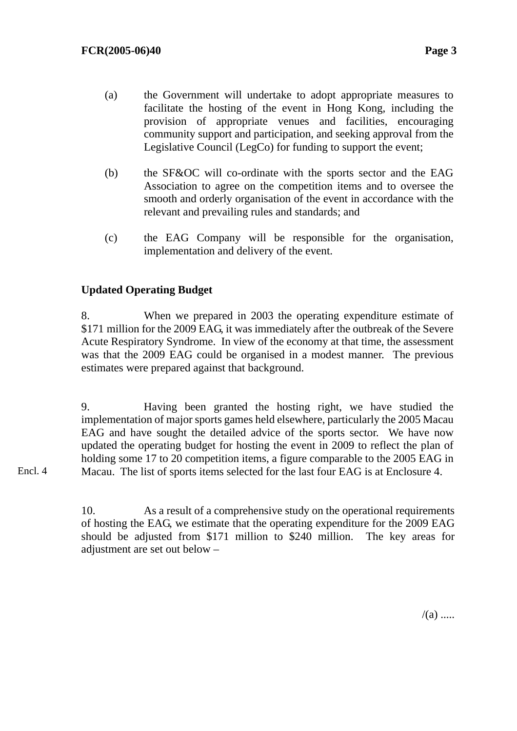- (a) the Government will undertake to adopt appropriate measures to facilitate the hosting of the event in Hong Kong, including the provision of appropriate venues and facilities, encouraging community support and participation, and seeking approval from the Legislative Council (LegCo) for funding to support the event;
- (b) the SF&OC will co-ordinate with the sports sector and the EAG Association to agree on the competition items and to oversee the smooth and orderly organisation of the event in accordance with the relevant and prevailing rules and standards; and
- (c) the EAG Company will be responsible for the organisation, implementation and delivery of the event.

## **Updated Operating Budget**

8. When we prepared in 2003 the operating expenditure estimate of \$171 million for the 2009 EAG, it was immediately after the outbreak of the Severe Acute Respiratory Syndrome. In view of the economy at that time, the assessment was that the 2009 EAG could be organised in a modest manner. The previous estimates were prepared against that background.

9. Having been granted the hosting right, we have studied the implementation of major sports games held elsewhere, particularly the 2005 Macau EAG and have sought the detailed advice of the sports sector. We have now updated the operating budget for hosting the event in 2009 to reflect the plan of holding some 17 to 20 competition items, a figure comparable to the 2005 EAG in Macau. The list of sports items selected for the last four EAG is at Enclosure 4.

Encl. 4

10. As a result of a comprehensive study on the operational requirements of hosting the EAG, we estimate that the operating expenditure for the 2009 EAG should be adjusted from \$171 million to \$240 million. The key areas for adjustment are set out below –

 $/(a)$  .....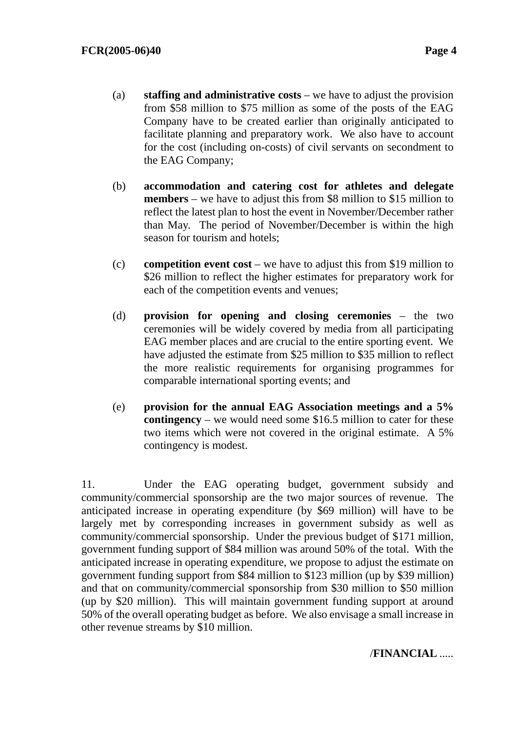- (a) **staffing and administrative costs** we have to adjust the provision from \$58 million to \$75 million as some of the posts of the EAG Company have to be created earlier than originally anticipated to facilitate planning and preparatory work. We also have to account for the cost (including on-costs) of civil servants on secondment to the EAG Company;
- (b) **accommodation and catering cost for athletes and delegate members** – we have to adjust this from \$8 million to \$15 million to reflect the latest plan to host the event in November/December rather than May. The period of November/December is within the high season for tourism and hotels;
- (c) **competition event cost** we have to adjust this from \$19 million to \$26 million to reflect the higher estimates for preparatory work for each of the competition events and venues;
- (d) **provision for opening and closing ceremonies** the two ceremonies will be widely covered by media from all participating EAG member places and are crucial to the entire sporting event. We have adjusted the estimate from \$25 million to \$35 million to reflect the more realistic requirements for organising programmes for comparable international sporting events; and
- (e) **provision for the annual EAG Association meetings and a 5% contingency** – we would need some \$16.5 million to cater for these two items which were not covered in the original estimate. A 5% contingency is modest.

11. Under the EAG operating budget, government subsidy and community/commercial sponsorship are the two major sources of revenue. The anticipated increase in operating expenditure (by \$69 million) will have to be largely met by corresponding increases in government subsidy as well as community/commercial sponsorship. Under the previous budget of \$171 million, government funding support of \$84 million was around 50% of the total. With the anticipated increase in operating expenditure, we propose to adjust the estimate on government funding support from \$84 million to \$123 million (up by \$39 million) and that on community/commercial sponsorship from \$30 million to \$50 million (up by \$20 million). This will maintain government funding support at around 50% of the overall operating budget as before. We also envisage a small increase in other revenue streams by \$10 million.

#### /**FINANCIAL** .....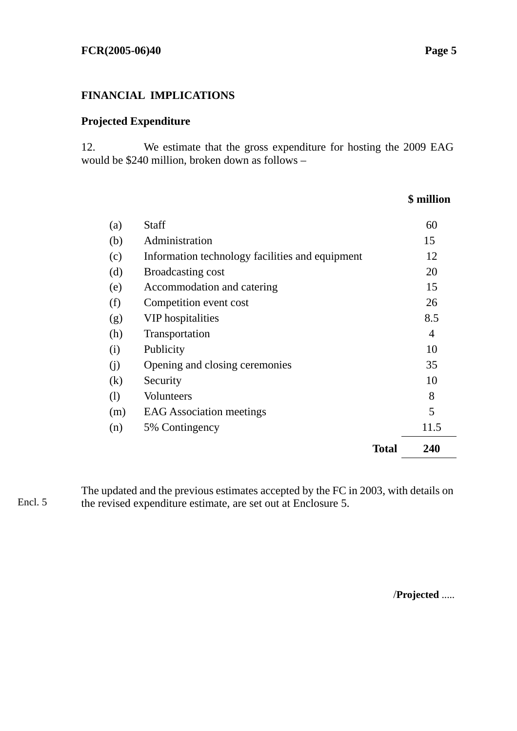## **FINANCIAL IMPLICATIONS**

### **Projected Expenditure**

12. We estimate that the gross expenditure for hosting the 2009 EAG would be \$240 million, broken down as follows –

## **\$ million**

| (a) | <b>Staff</b>                                    |              | 60   |
|-----|-------------------------------------------------|--------------|------|
| (b) | Administration                                  |              | 15   |
| (c) | Information technology facilities and equipment |              | 12   |
| (d) | <b>Broadcasting cost</b>                        |              | 20   |
| (e) | Accommodation and catering                      |              | 15   |
| (f) | Competition event cost                          |              | 26   |
| (g) | <b>VIP</b> hospitalities                        |              | 8.5  |
| (h) | Transportation                                  |              | 4    |
| (i) | Publicity                                       |              | 10   |
| (i) | Opening and closing ceremonies                  |              | 35   |
| (k) | Security                                        |              | 10   |
| (1) | <b>Volunteers</b>                               |              | 8    |
| (m) | <b>EAG</b> Association meetings                 |              | 5    |
| (n) | 5% Contingency                                  |              | 11.5 |
|     |                                                 | <b>Total</b> | 240  |

The updated and the previous estimates accepted by the FC in 2003, with details on the revised expenditure estimate, are set out at Enclosure 5. Encl. 5

/**Projected** .....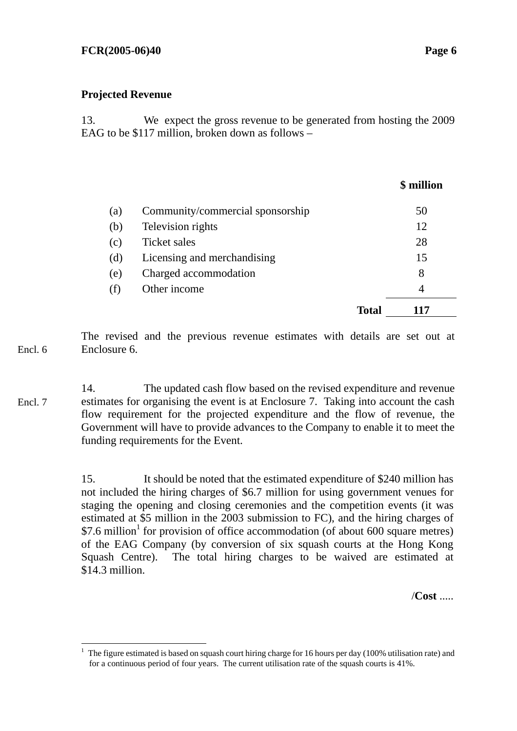#### **Projected Revenue**

13. We expect the gross revenue to be generated from hosting the 2009 EAG to be \$117 million, broken down as follows –

|     |                                  |              | \$ million |
|-----|----------------------------------|--------------|------------|
| (a) | Community/commercial sponsorship |              | 50         |
| (b) | Television rights                |              | 12         |
| (c) | Ticket sales                     |              | 28         |
| (d) | Licensing and merchandising      |              | 15         |
| (e) | Charged accommodation            |              | 8          |
| (f) | Other income                     |              | 4          |
|     |                                  | <b>Total</b> | 117        |

The revised and the previous revenue estimates with details are set out at Enclosure 6. Encl. 6

14. The updated cash flow based on the revised expenditure and revenue estimates for organising the event is at Enclosure 7. Taking into account the cash flow requirement for the projected expenditure and the flow of revenue, the Government will have to provide advances to the Company to enable it to meet the funding requirements for the Event. Encl. 7

> 15. It should be noted that the estimated expenditure of \$240 million has not included the hiring charges of \$6.7 million for using government venues for staging the opening and closing ceremonies and the competition events (it was estimated at \$5 million in the 2003 submission to FC), and the hiring charges of  $$7.6$  million<sup>1</sup> for provision of office accommodation (of about 600 square metres) of the EAG Company (by conversion of six squash courts at the Hong Kong Squash Centre). The total hiring charges to be waived are estimated at \$14.3 million.

> > /**Cost** .....

 $\overline{a}$ 1 The figure estimated is based on squash court hiring charge for 16 hours per day (100% utilisation rate) and for a continuous period of four years. The current utilisation rate of the squash courts is 41%.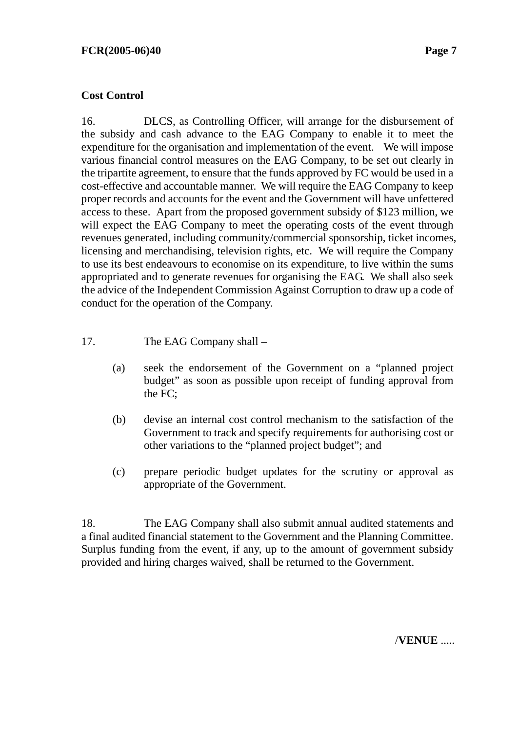#### **Cost Control**

16. DLCS, as Controlling Officer, will arrange for the disbursement of the subsidy and cash advance to the EAG Company to enable it to meet the expenditure for the organisation and implementation of the event. We will impose various financial control measures on the EAG Company, to be set out clearly in the tripartite agreement, to ensure that the funds approved by FC would be used in a cost-effective and accountable manner. We will require the EAG Company to keep proper records and accounts for the event and the Government will have unfettered access to these. Apart from the proposed government subsidy of \$123 million, we will expect the EAG Company to meet the operating costs of the event through revenues generated, including community/commercial sponsorship, ticket incomes, licensing and merchandising, television rights, etc. We will require the Company to use its best endeavours to economise on its expenditure, to live within the sums appropriated and to generate revenues for organising the EAG. We shall also seek the advice of the Independent Commission Against Corruption to draw up a code of conduct for the operation of the Company.

- 17. The EAG Company shall
	- (a) seek the endorsement of the Government on a "planned project budget" as soon as possible upon receipt of funding approval from the FC;
	- (b) devise an internal cost control mechanism to the satisfaction of the Government to track and specify requirements for authorising cost or other variations to the "planned project budget"; and
	- (c) prepare periodic budget updates for the scrutiny or approval as appropriate of the Government.

18. The EAG Company shall also submit annual audited statements and a final audited financial statement to the Government and the Planning Committee. Surplus funding from the event, if any, up to the amount of government subsidy provided and hiring charges waived, shall be returned to the Government.

/**VENUE** .....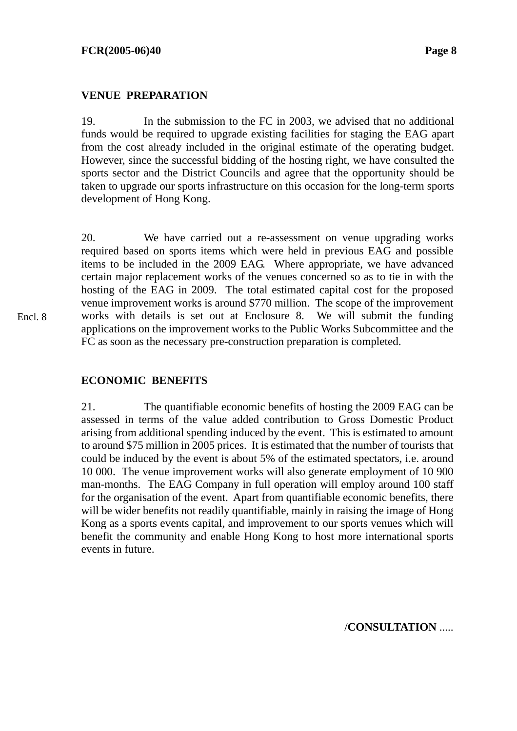#### **VENUE PREPARATION**

19. In the submission to the FC in 2003, we advised that no additional funds would be required to upgrade existing facilities for staging the EAG apart from the cost already included in the original estimate of the operating budget. However, since the successful bidding of the hosting right, we have consulted the sports sector and the District Councils and agree that the opportunity should be taken to upgrade our sports infrastructure on this occasion for the long-term sports development of Hong Kong.

20. We have carried out a re-assessment on venue upgrading works required based on sports items which were held in previous EAG and possible items to be included in the 2009 EAG. Where appropriate, we have advanced certain major replacement works of the venues concerned so as to tie in with the hosting of the EAG in 2009. The total estimated capital cost for the proposed venue improvement works is around \$770 million. The scope of the improvement works with details is set out at Enclosure 8. We will submit the funding applications on the improvement works to the Public Works Subcommittee and the FC as soon as the necessary pre-construction preparation is completed.

#### **ECONOMIC BENEFITS**

21. The quantifiable economic benefits of hosting the 2009 EAG can be assessed in terms of the value added contribution to Gross Domestic Product arising from additional spending induced by the event. This is estimated to amount to around \$75 million in 2005 prices. It is estimated that the number of tourists that could be induced by the event is about 5% of the estimated spectators, i.e. around 10 000. The venue improvement works will also generate employment of 10 900 man-months. The EAG Company in full operation will employ around 100 staff for the organisation of the event. Apart from quantifiable economic benefits, there will be wider benefits not readily quantifiable, mainly in raising the image of Hong Kong as a sports events capital, and improvement to our sports venues which will benefit the community and enable Hong Kong to host more international sports events in future.

/**CONSULTATION** .....

Encl. 8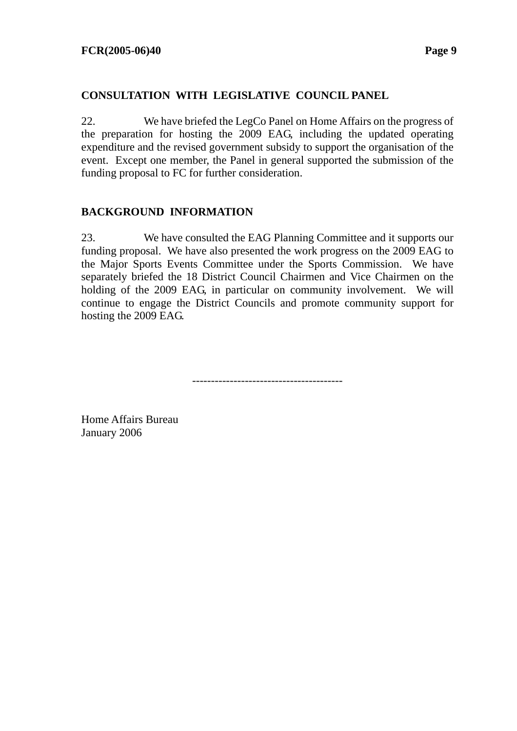#### **CONSULTATION WITH LEGISLATIVE COUNCIL PANEL**

22. We have briefed the LegCo Panel on Home Affairs on the progress of the preparation for hosting the 2009 EAG, including the updated operating expenditure and the revised government subsidy to support the organisation of the event. Except one member, the Panel in general supported the submission of the funding proposal to FC for further consideration.

#### **BACKGROUND INFORMATION**

23. We have consulted the EAG Planning Committee and it supports our funding proposal. We have also presented the work progress on the 2009 EAG to the Major Sports Events Committee under the Sports Commission. We have separately briefed the 18 District Council Chairmen and Vice Chairmen on the holding of the 2009 EAG, in particular on community involvement. We will continue to engage the District Councils and promote community support for hosting the 2009 EAG.

----------------------------------------

Home Affairs Bureau January 2006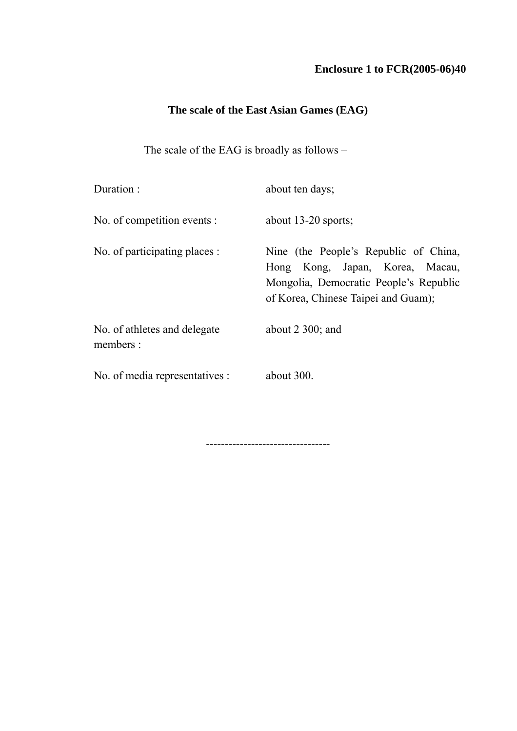## **Enclosure 1 to FCR(2005-06)40**

## **The scale of the East Asian Games (EAG)**

The scale of the EAG is broadly as follows  $-$ 

| Duration:                                 | about ten days;                                                                                                                                           |
|-------------------------------------------|-----------------------------------------------------------------------------------------------------------------------------------------------------------|
| No. of competition events :               | about $13-20$ sports;                                                                                                                                     |
| No. of participating places :             | Nine (the People's Republic of China,<br>Hong Kong, Japan, Korea, Macau,<br>Mongolia, Democratic People's Republic<br>of Korea, Chinese Taipei and Guam); |
| No. of athletes and delegate<br>members : | about $2\,300$ ; and                                                                                                                                      |
| No. of media representatives :            | about $300$ .                                                                                                                                             |

---------------------------------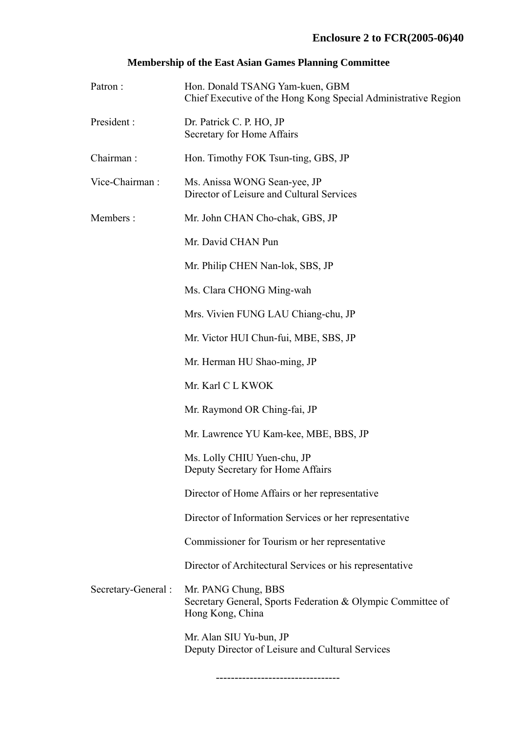### **Membership of the East Asian Games Planning Committee**

| Patron:             | Hon. Donald TSANG Yam-kuen, GBM<br>Chief Executive of the Hong Kong Special Administrative Region      |  |  |
|---------------------|--------------------------------------------------------------------------------------------------------|--|--|
| President:          | Dr. Patrick C. P. HO, JP<br>Secretary for Home Affairs                                                 |  |  |
| Chairman:           | Hon. Timothy FOK Tsun-ting, GBS, JP                                                                    |  |  |
| Vice-Chairman:      | Ms. Anissa WONG Sean-yee, JP<br>Director of Leisure and Cultural Services                              |  |  |
| Members:            | Mr. John CHAN Cho-chak, GBS, JP                                                                        |  |  |
|                     | Mr. David CHAN Pun                                                                                     |  |  |
|                     | Mr. Philip CHEN Nan-lok, SBS, JP                                                                       |  |  |
|                     | Ms. Clara CHONG Ming-wah                                                                               |  |  |
|                     | Mrs. Vivien FUNG LAU Chiang-chu, JP                                                                    |  |  |
|                     | Mr. Victor HUI Chun-fui, MBE, SBS, JP                                                                  |  |  |
|                     | Mr. Herman HU Shao-ming, JP                                                                            |  |  |
|                     | Mr. Karl C L KWOK                                                                                      |  |  |
|                     | Mr. Raymond OR Ching-fai, JP                                                                           |  |  |
|                     | Mr. Lawrence YU Kam-kee, MBE, BBS, JP                                                                  |  |  |
|                     | Ms. Lolly CHIU Yuen-chu, JP<br>Deputy Secretary for Home Affairs                                       |  |  |
|                     | Director of Home Affairs or her representative                                                         |  |  |
|                     | Director of Information Services or her representative                                                 |  |  |
|                     | Commissioner for Tourism or her representative                                                         |  |  |
|                     | Director of Architectural Services or his representative                                               |  |  |
| Secretary-General : | Mr. PANG Chung, BBS<br>Secretary General, Sports Federation & Olympic Committee of<br>Hong Kong, China |  |  |
|                     | Mr. Alan SIU Yu-bun, JP<br>Deputy Director of Leisure and Cultural Services                            |  |  |

---------------------------------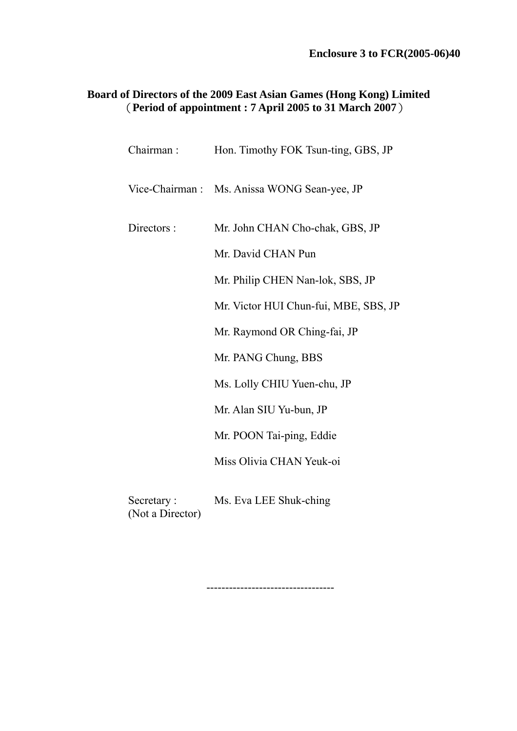## **Board of Directors of the 2009 East Asian Games (Hong Kong) Limited**  (**Period of appointment : 7 April 2005 to 31 March 2007**)

| Chairman:                      | Hon. Timothy FOK Tsun-ting, GBS, JP          |
|--------------------------------|----------------------------------------------|
|                                | Vice-Chairman : Ms. Anissa WONG Sean-yee, JP |
| Directors :                    | Mr. John CHAN Cho-chak, GBS, JP              |
|                                | Mr. David CHAN Pun                           |
|                                | Mr. Philip CHEN Nan-lok, SBS, JP             |
|                                | Mr. Victor HUI Chun-fui, MBE, SBS, JP        |
|                                | Mr. Raymond OR Ching-fai, JP                 |
|                                | Mr. PANG Chung, BBS                          |
|                                | Ms. Lolly CHIU Yuen-chu, JP                  |
|                                | Mr. Alan SIU Yu-bun, JP                      |
|                                | Mr. POON Tai-ping, Eddie                     |
|                                | Miss Olivia CHAN Yeuk-oi                     |
| Secretary:<br>(Not a Director) | Ms. Eva LEE Shuk-ching                       |

----------------------------------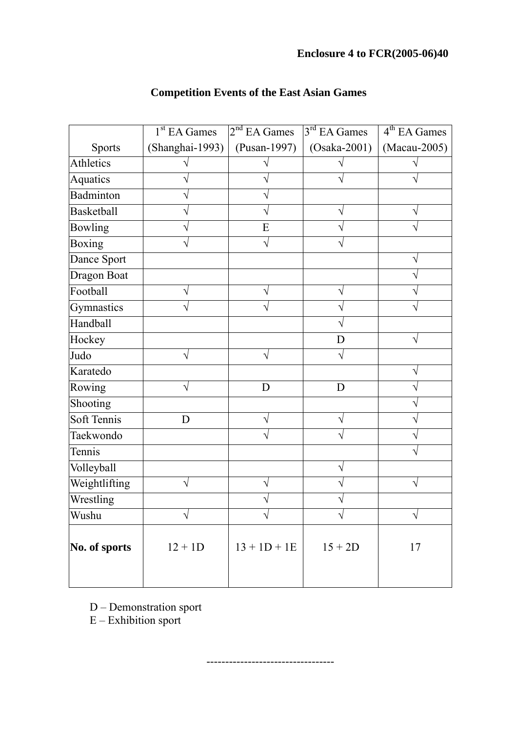|                   | 1 <sup>st</sup> EA Games | 2 <sup>nd</sup> EA Games | 3 <sup>rd</sup> EA Games | 4 <sup>th</sup> EA Games |
|-------------------|--------------------------|--------------------------|--------------------------|--------------------------|
| <b>Sports</b>     | (Shanghai-1993)          | (Pusan-1997)             | $(Osaka-2001)$           | (Macau-2005)             |
| Athletics         |                          |                          |                          |                          |
| Aquatics          |                          |                          |                          |                          |
| Badminton         |                          |                          |                          |                          |
| <b>Basketball</b> |                          |                          |                          |                          |
| <b>Bowling</b>    |                          | E                        |                          |                          |
| <b>Boxing</b>     |                          | ٦                        |                          |                          |
| Dance Sport       |                          |                          |                          |                          |
| Dragon Boat       |                          |                          |                          |                          |
| Football          |                          |                          |                          |                          |
| Gymnastics        |                          |                          |                          |                          |
| Handball          |                          |                          |                          |                          |
| Hockey            |                          |                          | D                        |                          |
| Judo              |                          | V                        |                          |                          |
| Karatedo          |                          |                          |                          |                          |
| Rowing            |                          | D                        | D                        |                          |
| Shooting          |                          |                          |                          |                          |
| Soft Tennis       | D                        |                          |                          |                          |
| Taekwondo         |                          |                          |                          |                          |
| Tennis            |                          |                          |                          |                          |
| Volleyball        |                          |                          |                          |                          |
| Weightlifting     |                          |                          |                          |                          |
| Wrestling         |                          |                          |                          |                          |
| Wushu             |                          | V                        | $\sqrt{}$                | $\sqrt{}$                |
| No. of sports     | $12 + 1D$                | $13 + 1D + 1E$           | $15 + 2D$                | 17                       |

----------------------------------

# **Competition Events of the East Asian Games**

 $D$  – Demonstration sport

 $E -$  Exhibition sport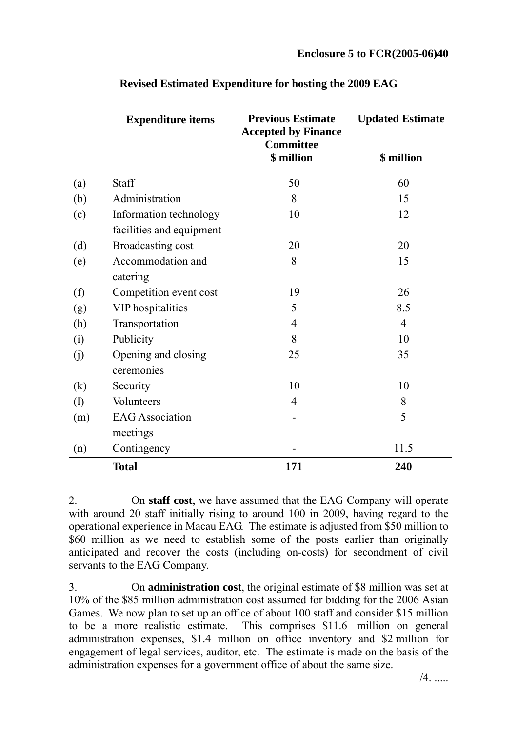|                   | <b>Expenditure items</b>                           | <b>Previous Estimate</b><br><b>Accepted by Finance</b><br><b>Committee</b> | <b>Updated Estimate</b> |  |
|-------------------|----------------------------------------------------|----------------------------------------------------------------------------|-------------------------|--|
|                   |                                                    | \$ million                                                                 | \$ million              |  |
| (a)               | <b>Staff</b>                                       | 50                                                                         | 60                      |  |
| (b)               | Administration                                     | 8                                                                          | 15                      |  |
| (c)               | Information technology<br>facilities and equipment | 10                                                                         | 12                      |  |
| (d)               | Broadcasting cost                                  | 20                                                                         | 20                      |  |
| (e)               | Accommodation and<br>catering                      | 8                                                                          | 15                      |  |
| (f)               | Competition event cost                             | 19                                                                         | 26                      |  |
| (g)               | <b>VIP</b> hospitalities                           | 5                                                                          | 8.5                     |  |
| (h)               | Transportation                                     | $\overline{4}$                                                             | $\overline{4}$          |  |
| (i)               | Publicity                                          | 8                                                                          | 10                      |  |
| (j)               | Opening and closing<br>ceremonies                  | 25                                                                         | 35                      |  |
| $\left( k\right)$ | Security                                           | 10                                                                         | 10                      |  |
| (1)               | Volunteers                                         | $\overline{4}$                                                             | 8                       |  |
| (m)               | <b>EAG Association</b><br>meetings                 |                                                                            | 5                       |  |
| (n)               | Contingency                                        |                                                                            | 11.5                    |  |
|                   | <b>Total</b>                                       | 171                                                                        | 240                     |  |

## **Revised Estimated Expenditure for hosting the 2009 EAG**

2. On **staff cost**, we have assumed that the EAG Company will operate with around 20 staff initially rising to around 100 in 2009, having regard to the operational experience in Macau EAG. The estimate is adjusted from \$50 million to \$60 million as we need to establish some of the posts earlier than originally anticipated and recover the costs (including on-costs) for secondment of civil servants to the EAG Company.

3. On **administration cost**, the original estimate of \$8 million was set at 10% of the \$85 million administration cost assumed for bidding for the 2006 Asian Games. We now plan to set up an office of about 100 staff and consider \$15 million to be a more realistic estimate. This comprises \$11.6 million on general administration expenses, \$1.4 million on office inventory and \$2 million for engagement of legal services, auditor, etc. The estimate is made on the basis of the administration expenses for a government office of about the same size.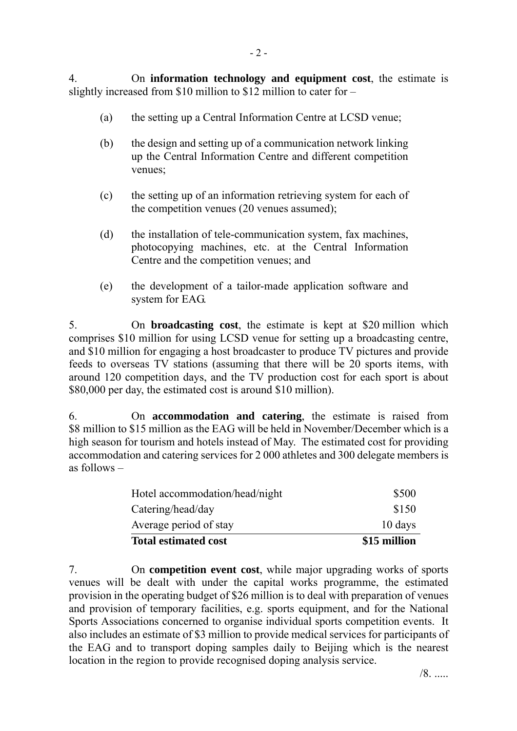- (a) the setting up a Central Information Centre at LCSD venue;
- (b) the design and setting up of a communication network linking up the Central Information Centre and different competition venues;
- (c) the setting up of an information retrieving system for each of the competition venues (20 venues assumed);
- (d) the installation of tele-communication system, fax machines, photocopying machines, etc. at the Central Information Centre and the competition venues; and
- (e) the development of a tailor-made application software and system for EAG.

5. On **broadcasting cost**, the estimate is kept at \$20 million which comprises \$10 million for using LCSD venue for setting up a broadcasting centre, and \$10 million for engaging a host broadcaster to produce TV pictures and provide feeds to overseas TV stations (assuming that there will be 20 sports items, with around 120 competition days, and the TV production cost for each sport is about \$80,000 per day, the estimated cost is around \$10 million).

6. On **accommodation and catering**, the estimate is raised from \$8 million to \$15 million as the EAG will be held in November/December which is a high season for tourism and hotels instead of May. The estimated cost for providing accommodation and catering services for 2 000 athletes and 300 delegate members is as follows  $-$ 

| <b>Total estimated cost</b>    | \$15 million |
|--------------------------------|--------------|
| Average period of stay         | 10 days      |
| Catering/head/day              | \$150        |
| Hotel accommodation/head/night | \$500        |

7. On **competition event cost**, while major upgrading works of sports venues will be dealt with under the capital works programme, the estimated provision in the operating budget of \$26 million is to deal with preparation of venues and provision of temporary facilities, e.g. sports equipment, and for the National Sports Associations concerned to organise individual sports competition events. It also includes an estimate of \$3 million to provide medical services for participants of the EAG and to transport doping samples daily to Beijing which is the nearest location in the region to provide recognised doping analysis service.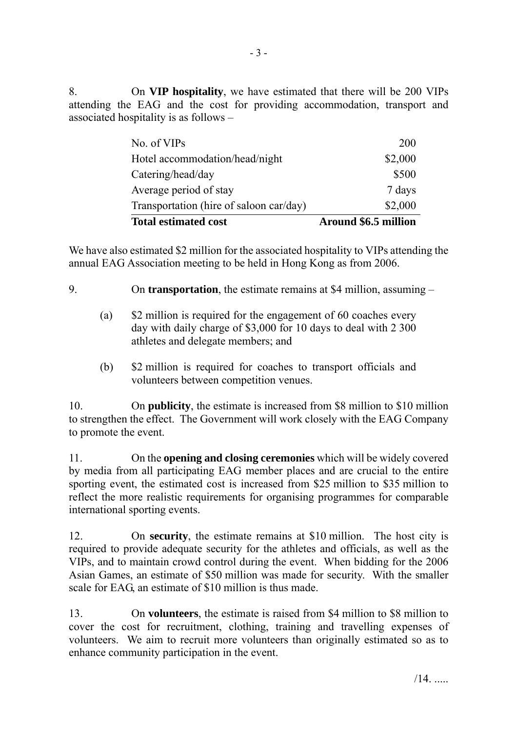8. On **VIP hospitality**, we have estimated that there will be 200 VIPs attending the EAG and the cost for providing accommodation, transport and associated hospitality is as follows  $-$ 

| \$2,000 |
|---------|
| 7 days  |
| \$500   |
| \$2,000 |
| 200     |
|         |

We have also estimated \$2 million for the associated hospitality to VIPs attending the annual EAG Association meeting to be held in Hong Kong as from 2006.

9. On **transportation**, the estimate remains at \$4 million, assuming –

- (a) \$2 million is required for the engagement of 60 coaches every day with daily charge of \$3,000 for 10 days to deal with 2 300 athletes and delegate members; and
- (b) \$2 million is required for coaches to transport officials and volunteers between competition venues.

10. On **publicity**, the estimate is increased from \$8 million to \$10 million to strengthen the effect. The Government will work closely with the EAG Company to promote the event.

11. On the **opening and closing ceremonies** which will be widely covered by media from all participating EAG member places and are crucial to the entire sporting event, the estimated cost is increased from \$25 million to \$35 million to reflect the more realistic requirements for organising programmes for comparable international sporting events.

12. On **security**, the estimate remains at \$10 million. The host city is required to provide adequate security for the athletes and officials, as well as the VIPs, and to maintain crowd control during the event. When bidding for the 2006 Asian Games, an estimate of \$50 million was made for security. With the smaller scale for EAG, an estimate of \$10 million is thus made.

13. On **volunteers**, the estimate is raised from \$4 million to \$8 million to cover the cost for recruitment, clothing, training and travelling expenses of volunteers. We aim to recruit more volunteers than originally estimated so as to enhance community participation in the event.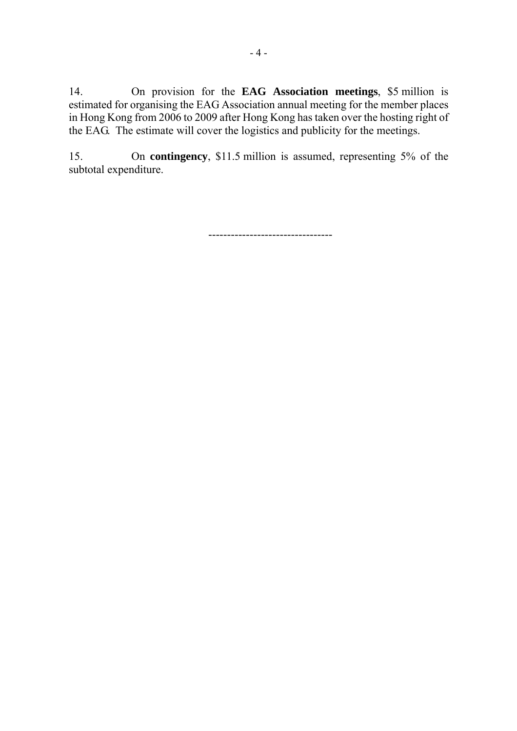14. On provision for the **EAG Association meetings**, \$5 million is estimated for organising the EAG Association annual meeting for the member places in Hong Kong from 2006 to 2009 after Hong Kong has taken over the hosting right of the EAG. The estimate will cover the logistics and publicity for the meetings.

15. On **contingency**, \$11.5 million is assumed, representing 5% of the subtotal expenditure.

---------------------------------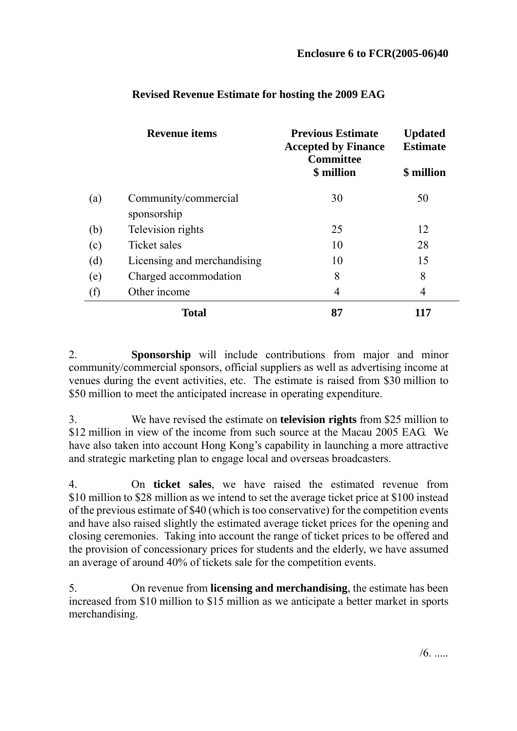| <b>Revenue items</b> |                                     | <b>Previous Estimate</b><br><b>Accepted by Finance</b><br><b>Committee</b> | <b>Updated</b><br><b>Estimate</b> |
|----------------------|-------------------------------------|----------------------------------------------------------------------------|-----------------------------------|
|                      |                                     | \$ million                                                                 | \$ million                        |
| (a)                  | Community/commercial<br>sponsorship | 30                                                                         | 50                                |
| (b)                  | Television rights                   | 25                                                                         | 12                                |
| (c)                  | Ticket sales                        | 10                                                                         | 28                                |
| (d)                  | Licensing and merchandising         | 10                                                                         | 15                                |
| (e)                  | Charged accommodation               | 8                                                                          | 8                                 |
| (f)                  | Other income                        | 4                                                                          | 4                                 |
|                      | <b>Total</b>                        | 87                                                                         | 117                               |

## **Revised Revenue Estimate for hosting the 2009 EAG**

2. **Sponsorship** will include contributions from major and minor community/commercial sponsors, official suppliers as well as advertising income at venues during the event activities, etc. The estimate is raised from \$30 million to \$50 million to meet the anticipated increase in operating expenditure.

3. We have revised the estimate on **television rights** from \$25 million to \$12 million in view of the income from such source at the Macau 2005 EAG. We have also taken into account Hong Kong's capability in launching a more attractive and strategic marketing plan to engage local and overseas broadcasters.

4. On **ticket sales**, we have raised the estimated revenue from \$10 million to \$28 million as we intend to set the average ticket price at \$100 instead of the previous estimate of \$40 (which is too conservative) for the competition events and have also raised slightly the estimated average ticket prices for the opening and closing ceremonies. Taking into account the range of ticket prices to be offered and the provision of concessionary prices for students and the elderly, we have assumed an average of around 40% of tickets sale for the competition events.

5. On revenue from **licensing and merchandising**, the estimate has been increased from \$10 million to \$15 million as we anticipate a better market in sports merchandising.

 $/6$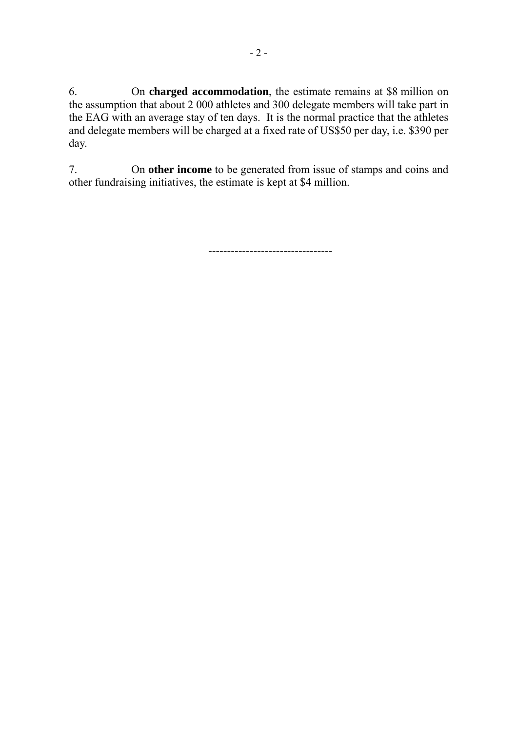6. On **charged accommodation**, the estimate remains at \$8 million on the assumption that about 2 000 athletes and 300 delegate members will take part in the EAG with an average stay of ten days. It is the normal practice that the athletes and delegate members will be charged at a fixed rate of US\$50 per day, i.e. \$390 per day.

7. On **other income** to be generated from issue of stamps and coins and other fundraising initiatives, the estimate is kept at \$4 million.

---------------------------------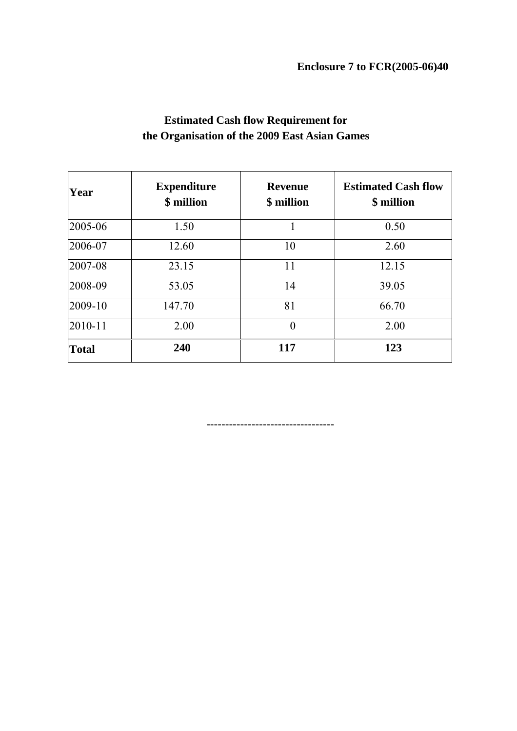| Year         | <b>Expenditure</b><br>\$ million | <b>Revenue</b><br>\$ million | <b>Estimated Cash flow</b><br>\$ million |
|--------------|----------------------------------|------------------------------|------------------------------------------|
| 2005-06      | 1.50                             |                              | 0.50                                     |
| 2006-07      | 12.60                            | 10                           | 2.60                                     |
| 2007-08      | 23.15                            | 11                           | 12.15                                    |
| 2008-09      | 53.05                            | 14                           | 39.05                                    |
| 2009-10      | 147.70                           | 81                           | 66.70                                    |
| 2010-11      | 2.00                             | $\theta$                     | 2.00                                     |
| <b>Total</b> | 240                              | 117                          | 123                                      |

## **Estimated Cash flow Requirement for the Organisation of the 2009 East Asian Games**

----------------------------------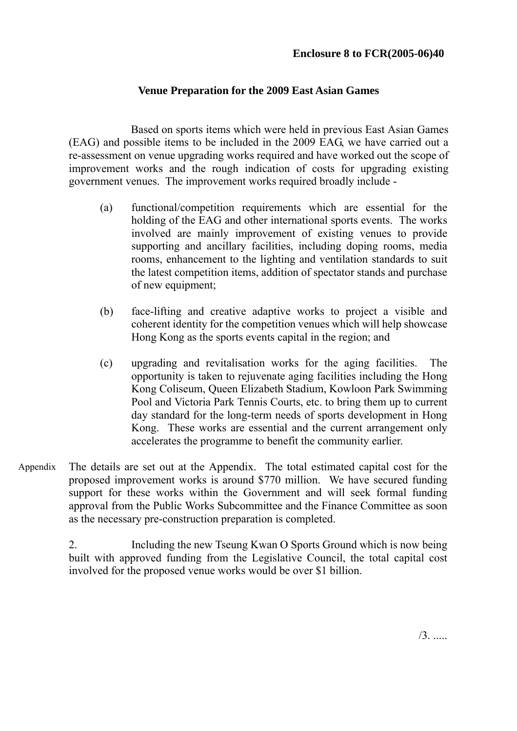#### **Venue Preparation for the 2009 East Asian Games**

 Based on sports items which were held in previous East Asian Games (EAG) and possible items to be included in the 2009 EAG, we have carried out a re-assessment on venue upgrading works required and have worked out the scope of improvement works and the rough indication of costs for upgrading existing government venues. The improvement works required broadly include -

- (a) functional/competition requirements which are essential for the holding of the EAG and other international sports events. The works involved are mainly improvement of existing venues to provide supporting and ancillary facilities, including doping rooms, media rooms, enhancement to the lighting and ventilation standards to suit the latest competition items, addition of spectator stands and purchase of new equipment;
- (b) face-lifting and creative adaptive works to project a visible and coherent identity for the competition venues which will help showcase Hong Kong as the sports events capital in the region; and
- (c) upgrading and revitalisation works for the aging facilities. The opportunity is taken to rejuvenate aging facilities including the Hong Kong Coliseum, Queen Elizabeth Stadium, Kowloon Park Swimming Pool and Victoria Park Tennis Courts, etc. to bring them up to current day standard for the long-term needs of sports development in Hong Kong. These works are essential and the current arrangement only accelerates the programme to benefit the community earlier.
- The details are set out at the Appendix. The total estimated capital cost for the proposed improvement works is around \$770 million. We have secured funding support for these works within the Government and will seek formal funding approval from the Public Works Subcommittee and the Finance Committee as soon as the necessary pre-construction preparation is completed. Appendix

2. Including the new Tseung Kwan O Sports Ground which is now being built with approved funding from the Legislative Council, the total capital cost involved for the proposed venue works would be over \$1 billion.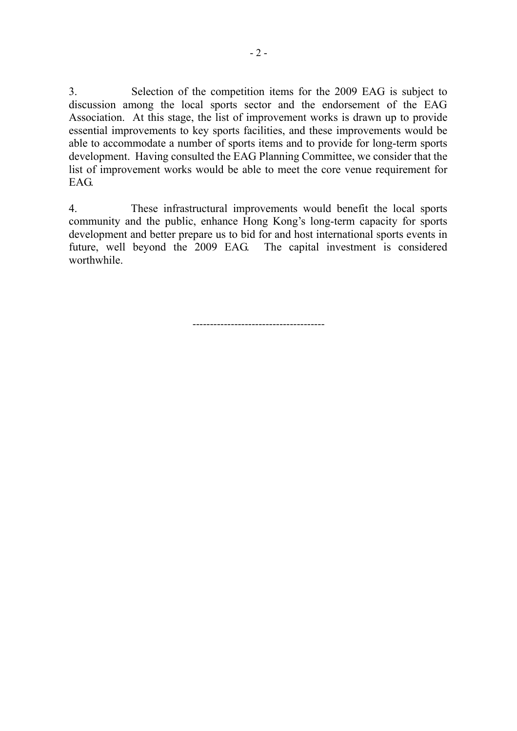3. Selection of the competition items for the 2009 EAG is subject to discussion among the local sports sector and the endorsement of the EAG Association. At this stage, the list of improvement works is drawn up to provide essential improvements to key sports facilities, and these improvements would be able to accommodate a number of sports items and to provide for long-term sports development. Having consulted the EAG Planning Committee, we consider that the list of improvement works would be able to meet the core venue requirement for EAG.

4. These infrastructural improvements would benefit the local sports community and the public, enhance Hong Kong's long-term capacity for sports development and better prepare us to bid for and host international sports events in future, well beyond the 2009 EAG. The capital investment is considered worthwhile.

 $-$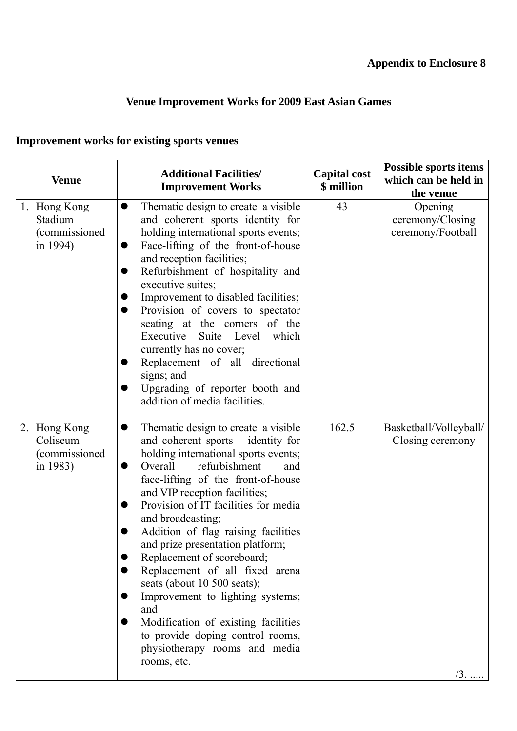# **Venue Improvement Works for 2009 East Asian Games**

# **Improvement works for existing sports venues**

| <b>Venue</b>                         |                       | <b>Additional Facilities/</b><br><b>Improvement Works</b>                                                                                                                                                                                                                                                                                                                                                                                                                                                                                                                                                                                                           | <b>Capital cost</b><br>\$ million | <b>Possible sports items</b><br>which can be held in<br>the venue |
|--------------------------------------|-----------------------|---------------------------------------------------------------------------------------------------------------------------------------------------------------------------------------------------------------------------------------------------------------------------------------------------------------------------------------------------------------------------------------------------------------------------------------------------------------------------------------------------------------------------------------------------------------------------------------------------------------------------------------------------------------------|-----------------------------------|-------------------------------------------------------------------|
| 1. Hong Kong<br>Stadium<br>in 1994)  | <i>(commissioned)</i> | Thematic design to create a visible<br>$\bullet$<br>and coherent sports identity for<br>holding international sports events;<br>Face-lifting of the front-of-house<br>and reception facilities;<br>Refurbishment of hospitality and<br>executive suites;<br>Improvement to disabled facilities;<br>Provision of covers to spectator<br>$\bullet$<br>seating at the corners of the<br>Executive Suite Level<br>which<br>currently has no cover;<br>Replacement of all directional<br>signs; and<br>Upgrading of reporter booth and<br>addition of media facilities.                                                                                                  | 43                                | Opening<br>ceremony/Closing<br>ceremony/Football                  |
| 2. Hong Kong<br>Coliseum<br>in 1983) | <i>(commissioned)</i> | Thematic design to create a visible<br>$\bullet$<br>and coherent sports<br>identity for<br>holding international sports events;<br>refurbishment<br>Overall<br>and<br>$\bullet$<br>face-lifting of the front-of-house<br>and VIP reception facilities;<br>Provision of IT facilities for media<br>and broadcasting;<br>Addition of flag raising facilities<br>and prize presentation platform;<br>Replacement of scoreboard;<br>Replacement of all fixed arena<br>seats (about 10 500 seats);<br>Improvement to lighting systems;<br>and<br>Modification of existing facilities<br>to provide doping control rooms,<br>physiotherapy rooms and media<br>rooms, etc. | 162.5                             | Basketball/Volleyball/<br>Closing ceremony<br>$/3.$               |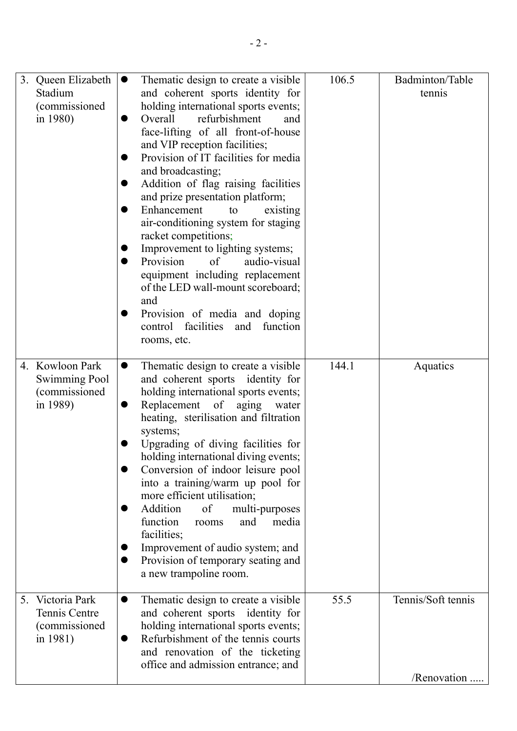|    | 3. Queen Elizabeth<br>Stadium<br>(commissioned)<br>in 1980)          | Thematic design to create a visible<br>$\bullet$<br>and coherent sports identity for<br>holding international sports events;<br>Overall<br>refurbishment<br>and<br>face-lifting of all front-of-house<br>and VIP reception facilities;<br>Provision of IT facilities for media<br>and broadcasting;<br>Addition of flag raising facilities<br>and prize presentation platform;<br>Enhancement<br>existing<br>to<br>air-conditioning system for staging<br>racket competitions;<br>Improvement to lighting systems;<br>Provision<br>of<br>audio-visual<br>equipment including replacement<br>of the LED wall-mount scoreboard;<br>and<br>Provision of media and doping<br>control facilities<br>function<br>and<br>rooms, etc. | 106.5 | Badminton/Table<br>tennis         |
|----|----------------------------------------------------------------------|-------------------------------------------------------------------------------------------------------------------------------------------------------------------------------------------------------------------------------------------------------------------------------------------------------------------------------------------------------------------------------------------------------------------------------------------------------------------------------------------------------------------------------------------------------------------------------------------------------------------------------------------------------------------------------------------------------------------------------|-------|-----------------------------------|
|    | 4. Kowloon Park<br><b>Swimming Pool</b><br>(commissioned<br>in 1989) | Thematic design to create a visible<br>$\bullet$<br>and coherent sports identity for<br>holding international sports events;<br>Replacement of aging<br>water<br>heating, sterilisation and filtration<br>systems;<br>Upgrading of diving facilities for<br>holding international diving events;<br>Conversion of indoor leisure pool<br>into a training/warm up pool for<br>more efficient utilisation;<br>Addition<br>of<br>multi-purposes<br>function<br>media<br>and<br>rooms<br>facilities;<br>Improvement of audio system; and<br>Provision of temporary seating and<br>a new trampoline room.                                                                                                                          | 144.1 | Aquatics                          |
| 5. | Victoria Park<br>Tennis Centre<br>(commissioned<br>in 1981)          | Thematic design to create a visible<br>$\bullet$<br>and coherent sports identity for<br>holding international sports events;<br>Refurbishment of the tennis courts<br>and renovation of the ticketing<br>office and admission entrance; and                                                                                                                                                                                                                                                                                                                                                                                                                                                                                   | 55.5  | Tennis/Soft tennis<br>/Renovation |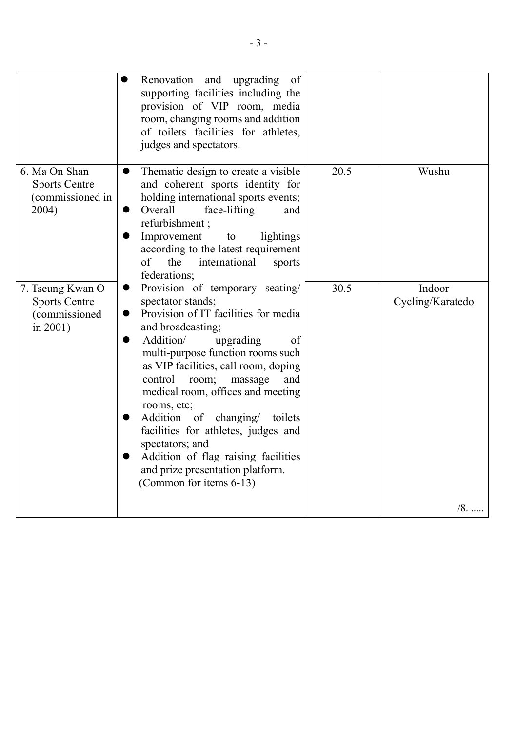|                                                                          | Renovation and upgrading<br>of<br>supporting facilities including the<br>provision of VIP room, media<br>room, changing rooms and addition<br>of toilets facilities for athletes,<br>judges and spectators.                                                                                                                                                                                                                                                                                                                                                      |      |                            |
|--------------------------------------------------------------------------|------------------------------------------------------------------------------------------------------------------------------------------------------------------------------------------------------------------------------------------------------------------------------------------------------------------------------------------------------------------------------------------------------------------------------------------------------------------------------------------------------------------------------------------------------------------|------|----------------------------|
| 6. Ma On Shan<br><b>Sports Centre</b><br>(commissioned in<br>2004)       | Thematic design to create a visible<br>$\bullet$<br>and coherent sports identity for<br>holding international sports events;<br>Overall<br>face-lifting<br>and<br>●<br>refurbishment;<br>Improvement<br>lightings<br>to<br>according to the latest requirement<br>of<br>the<br>international<br>sports<br>federations;                                                                                                                                                                                                                                           | 20.5 | Wushu                      |
| 7. Tseung Kwan O<br><b>Sports Centre</b><br>(commissioned<br>in $2001$ ) | Provision of temporary seating/<br>$\bullet$<br>spectator stands;<br>Provision of IT facilities for media<br>$\bullet$<br>and broadcasting;<br>Addition/<br>upgrading<br>of<br>$\bullet$<br>multi-purpose function rooms such<br>as VIP facilities, call room, doping<br>control<br>room;<br>massage<br>and<br>medical room, offices and meeting<br>rooms, etc;<br>Addition of changing/ toilets<br>facilities for athletes, judges and<br>spectators; and<br>Addition of flag raising facilities<br>and prize presentation platform.<br>(Common for items 6-13) | 30.5 | Indoor<br>Cycling/Karatedo |
|                                                                          |                                                                                                                                                                                                                                                                                                                                                                                                                                                                                                                                                                  |      | $/8.$                      |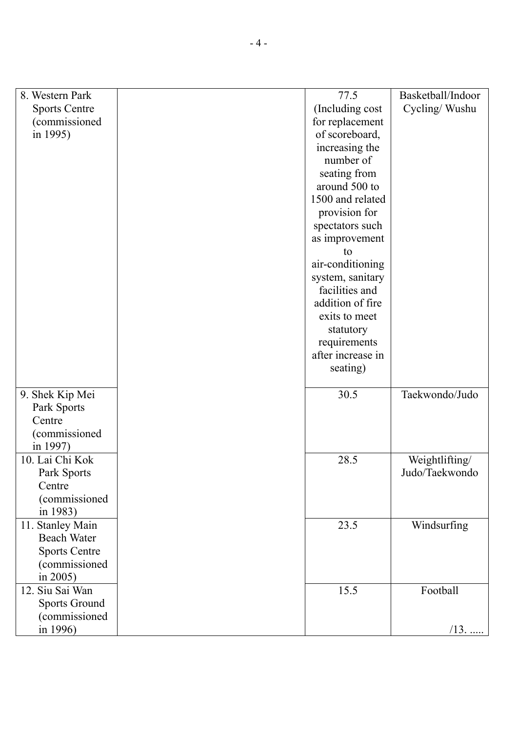| 8. Western Park      | 77.5              | Basketball/Indoor |
|----------------------|-------------------|-------------------|
| <b>Sports Centre</b> | (Including cost   | Cycling/Wushu     |
| (commissioned        | for replacement   |                   |
| in 1995)             | of scoreboard,    |                   |
|                      | increasing the    |                   |
|                      | number of         |                   |
|                      | seating from      |                   |
|                      | around 500 to     |                   |
|                      | 1500 and related  |                   |
|                      | provision for     |                   |
|                      | spectators such   |                   |
|                      | as improvement    |                   |
|                      | to                |                   |
|                      | air-conditioning  |                   |
|                      | system, sanitary  |                   |
|                      | facilities and    |                   |
|                      | addition of fire  |                   |
|                      | exits to meet     |                   |
|                      | statutory         |                   |
|                      | requirements      |                   |
|                      | after increase in |                   |
|                      | seating)          |                   |
|                      |                   |                   |
| 9. Shek Kip Mei      | 30.5              | Taekwondo/Judo    |
| Park Sports          |                   |                   |
| Centre               |                   |                   |
| (commissioned        |                   |                   |
| in 1997)             |                   |                   |
| 10. Lai Chi Kok      | 28.5              | Weightlifting/    |
| Park Sports          |                   | Judo/Taekwondo    |
| Centre               |                   |                   |
| (commissioned        |                   |                   |
| in 1983)             |                   |                   |
| 11. Stanley Main     | 23.5              | Windsurfing       |
| <b>Beach Water</b>   |                   |                   |
| <b>Sports Centre</b> |                   |                   |
| (commissioned        |                   |                   |
| in 2005)             |                   |                   |
| 12. Siu Sai Wan      | 15.5              | Football          |
| <b>Sports Ground</b> |                   |                   |
| (commissioned        |                   |                   |
| in 1996)             |                   | $/13$ .           |